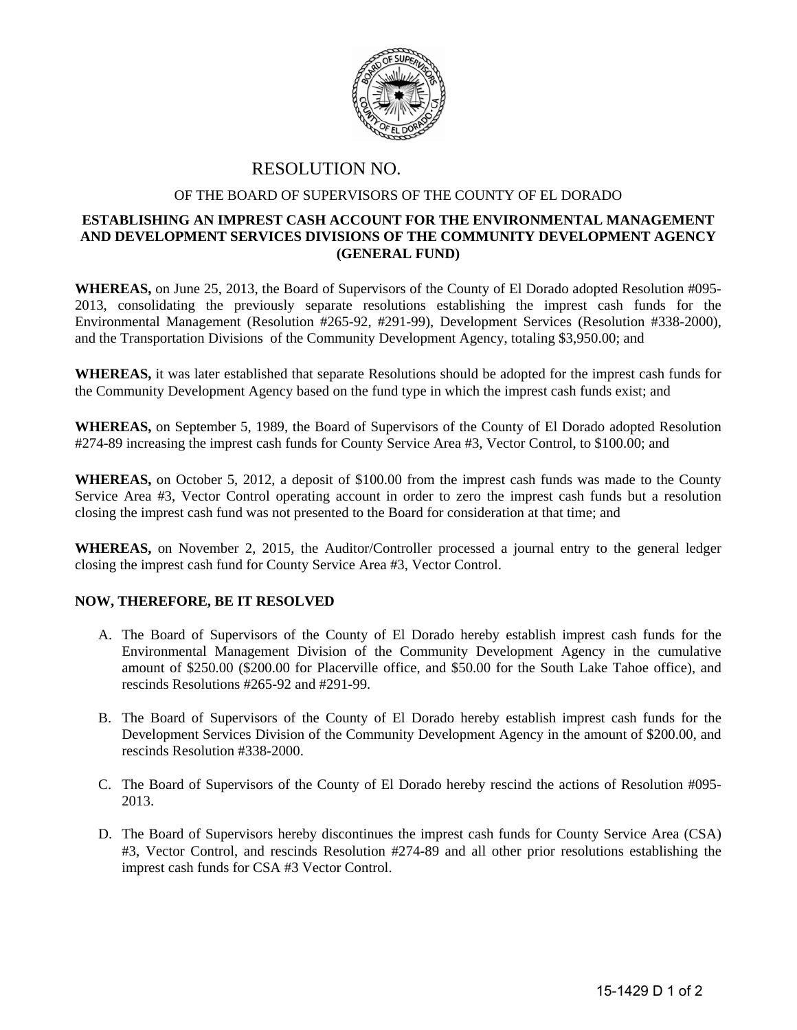

## RESOLUTION NO.

## OF THE BOARD OF SUPERVISORS OF THE COUNTY OF EL DORADO

## **ESTABLISHING AN IMPREST CASH ACCOUNT FOR THE ENVIRONMENTAL MANAGEMENT AND DEVELOPMENT SERVICES DIVISIONS OF THE COMMUNITY DEVELOPMENT AGENCY (GENERAL FUND)**

**WHEREAS,** on June 25, 2013, the Board of Supervisors of the County of El Dorado adopted Resolution #095- 2013, consolidating the previously separate resolutions establishing the imprest cash funds for the Environmental Management (Resolution #265-92, #291-99), Development Services (Resolution #338-2000), and the Transportation Divisions of the Community Development Agency, totaling \$3,950.00; and

**WHEREAS,** it was later established that separate Resolutions should be adopted for the imprest cash funds for the Community Development Agency based on the fund type in which the imprest cash funds exist; and

**WHEREAS,** on September 5, 1989, the Board of Supervisors of the County of El Dorado adopted Resolution #274-89 increasing the imprest cash funds for County Service Area #3, Vector Control, to \$100.00; and

**WHEREAS,** on October 5, 2012, a deposit of \$100.00 from the imprest cash funds was made to the County Service Area #3, Vector Control operating account in order to zero the imprest cash funds but a resolution closing the imprest cash fund was not presented to the Board for consideration at that time; and

**WHEREAS,** on November 2, 2015, the Auditor/Controller processed a journal entry to the general ledger closing the imprest cash fund for County Service Area #3, Vector Control.

## **NOW, THEREFORE, BE IT RESOLVED**

- A. The Board of Supervisors of the County of El Dorado hereby establish imprest cash funds for the Environmental Management Division of the Community Development Agency in the cumulative amount of \$250.00 (\$200.00 for Placerville office, and \$50.00 for the South Lake Tahoe office), and rescinds Resolutions #265-92 and #291-99.
- B. The Board of Supervisors of the County of El Dorado hereby establish imprest cash funds for the Development Services Division of the Community Development Agency in the amount of \$200.00, and rescinds Resolution #338-2000.
- C. The Board of Supervisors of the County of El Dorado hereby rescind the actions of Resolution #095- 2013.
- D. The Board of Supervisors hereby discontinues the imprest cash funds for County Service Area (CSA) #3, Vector Control, and rescinds Resolution #274-89 and all other prior resolutions establishing the imprest cash funds for CSA #3 Vector Control.